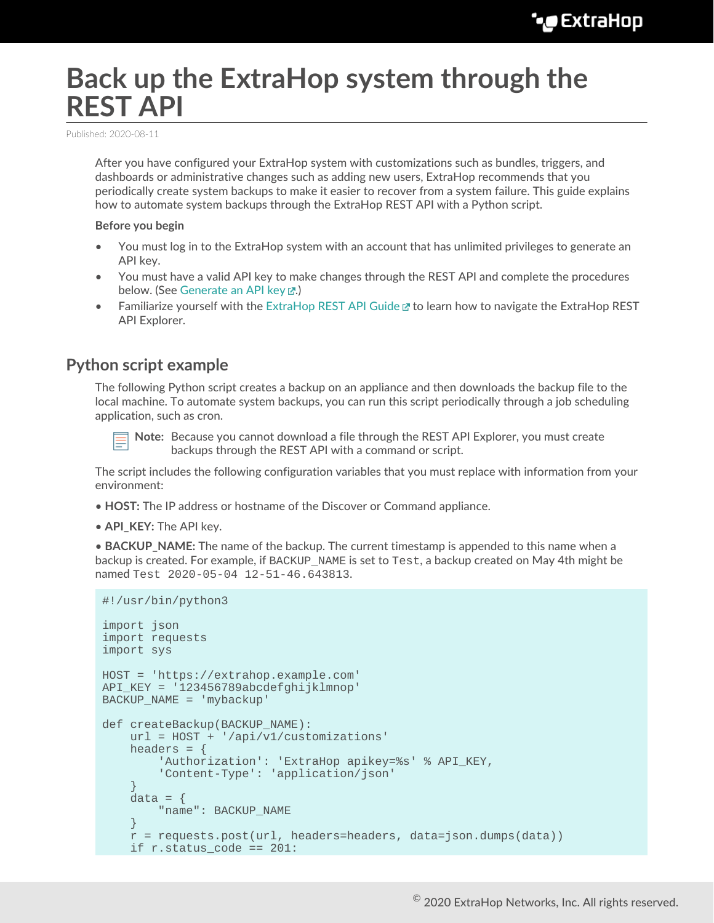# **Back up the ExtraHop system through the REST API**

Published: 2020-08-11

After you have configured your ExtraHop system with customizations such as bundles, triggers, and dashboards or administrative changes such as adding new users, ExtraHop recommends that you periodically create system backups to make it easier to recover from a system failure. This guide explains how to automate system backups through the ExtraHop REST API with a Python script.

#### **Before you begin**

- You must log in to the ExtraHop system with an account that has unlimited privileges to generate an API key.
- You must have a valid API key to make changes through the REST API and complete the procedures below. (See [Generate an API key](https://docs.extrahop.com/8.0/rest-api-guide/#generate-an-api-key) ...)
- Familiarize yourself with the [ExtraHop REST API Guide](https://docs.extrahop.com/8.0/rest-api-guide) Extra How to navigate the ExtraHop REST API Explorer.

### **Python script example**

The following Python script creates a backup on an appliance and then downloads the backup file to the local machine. To automate system backups, you can run this script periodically through a job scheduling application, such as cron.



**Note:** Because you cannot download a file through the REST API Explorer, you must create backups through the REST API with a command or script.

The script includes the following configuration variables that you must replace with information from your environment:

- **HOST:** The IP address or hostname of the Discover or Command appliance.
- **API\_KEY:** The API key.

• **BACKUP\_NAME:** The name of the backup. The current timestamp is appended to this name when a backup is created. For example, if BACKUP\_NAME is set to Test, a backup created on May 4th might be named Test 2020-05-04 12-51-46.643813.

```
#!/usr/bin/python3
import json
import requests
import sys
HOST = 'https://extrahop.example.com'
API_KEY = '123456789abcdefghijklmnop'
BACKUP_NAME = 'mybackup'
def createBackup(BACKUP_NAME):
     url = HOST + '/api/v1/customizations'
    headers = \{'Authorization': 'ExtraHop apikey=%s' % API_KEY,
          'Content-Type': 'application/json'
 }
    data = \{ "name": BACKUP_NAME
 }
    r = \text{requests}.\text{post}(\text{url}, \text{headers=headsr}, \text{data=ison}.\text{dumps}(\text{data}))if r.status code == 201:
```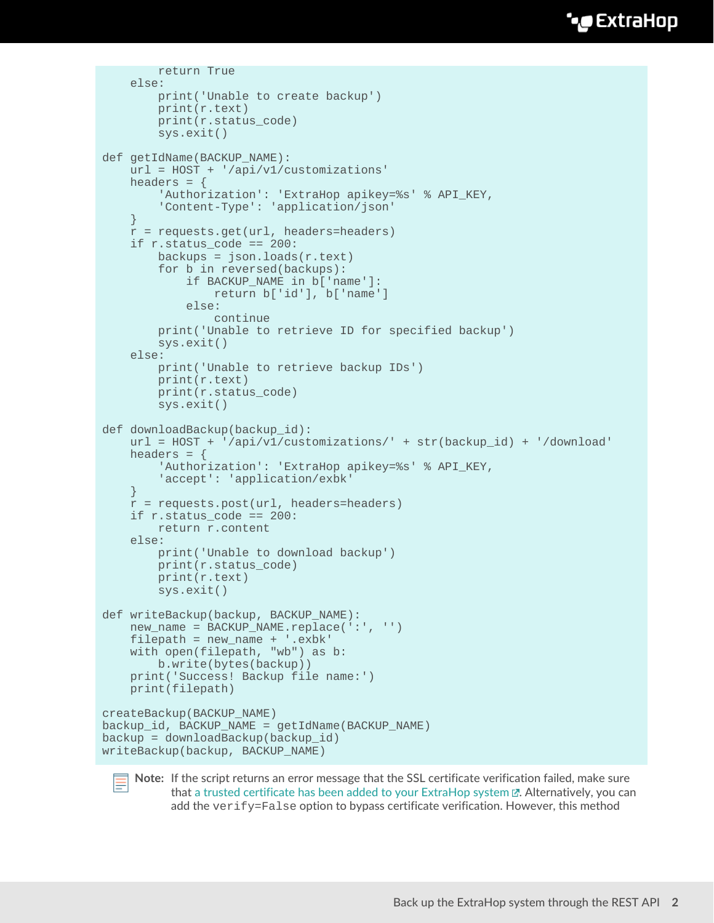### **∙e** ExtraHop

```
 return True
     else:
         print('Unable to create backup')
         print(r.text)
         print(r.status_code)
         sys.exit()
def getIdName(BACKUP_NAME):
     url = HOST + '/api/v1/customizations'
    headers = \{'Authorization': 'ExtraHop apikey=%s' % API KEY,
         'Content-Type': 'application/json'
     }
     r = requests.get(url, headers=headers)
    if r.\text{status\_code} == 200:
         backups = json.loads(r.text)
         for b in reversed(backups):
             if BACKUP_NAME in b['name']:
                 return b['id'], b['name']
             else:
                 continue
         print('Unable to retrieve ID for specified backup')
         sys.exit()
     else:
         print('Unable to retrieve backup IDs')
         print(r.text)
         print(r.status_code)
         sys.exit()
def downloadBackup(backup_id):
     url = HOST + '/api/v1/customizations/' + str(backup_id) + '/download'
    headers = \{'Authorization': 'ExtraHop apikey=%s' % API_KEY,
         'accept': 'application/exbk'
 }
    r = \text{requests.post(url, headers=headsr}) if r.status_code == 200:
         return r.content
     else:
         print('Unable to download backup')
         print(r.status_code)
         print(r.text)
         sys.exit()
def writeBackup(backup, BACKUP_NAME):
     new_name = BACKUP_NAME.replace(':', '')
    filepath = new name + \cdot.exbk'
     with open(filepath, "wb") as b:
         b.write(bytes(backup))
     print('Success! Backup file name:')
     print(filepath)
createBackup(BACKUP_NAME)
backup_id, BACKUP_NAME = getIdName(BACKUP_NAME)
backup = downloadBackup(backup id)writeBackup(backup, BACKUP_NAME)
```


**Note:** If the script returns an error message that the SSL certificate verification failed, make sure that [a trusted certificate has been added to your ExtraHop system](https://docs.extrahop.com/8.0/eh-admin-ui-guide/#ssl-certificate)  $\mathbb{Z}$ . Alternatively, you can add the verify=False option to bypass certificate verification. However, this method